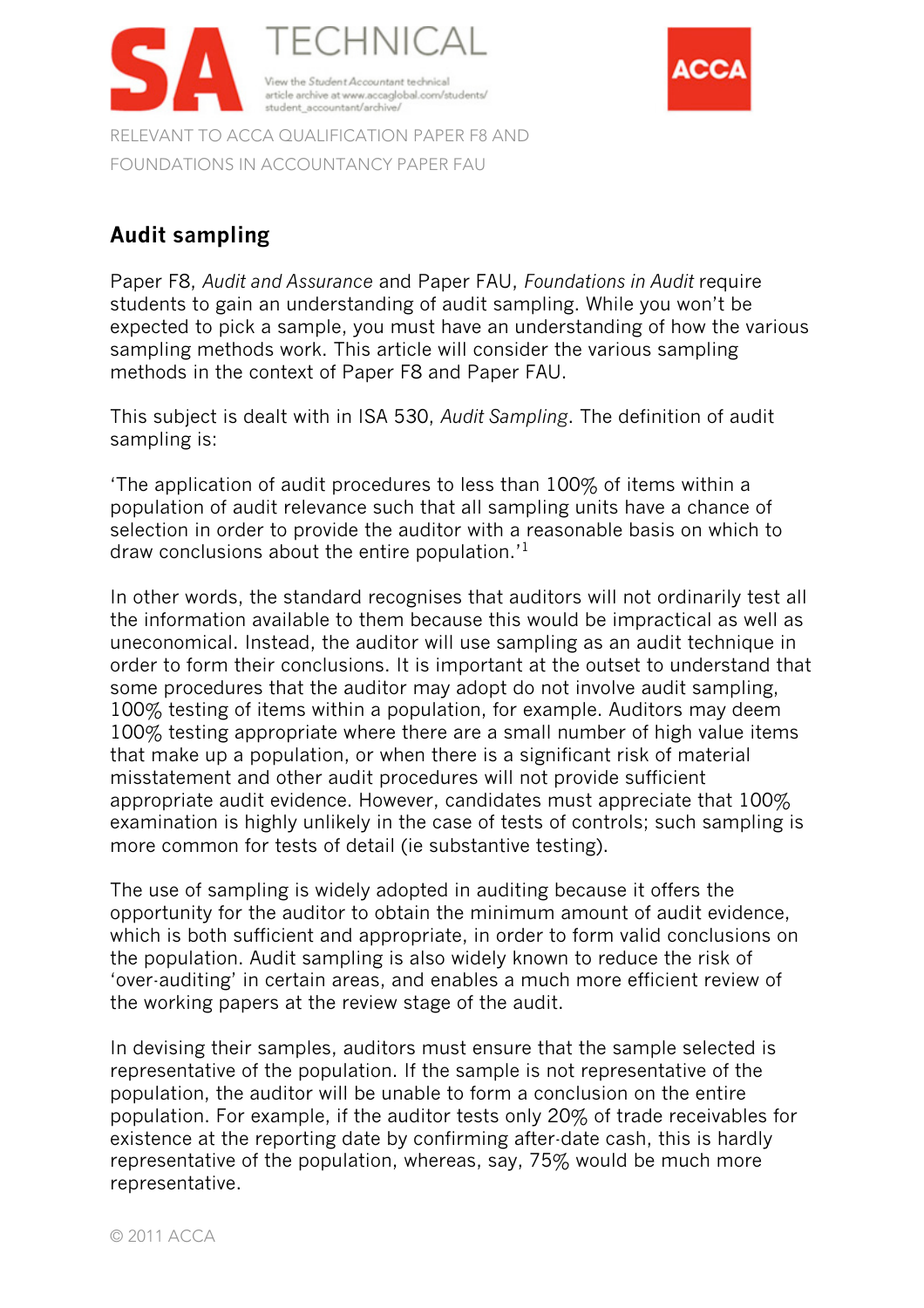

FOUNDATIONS IN ACCOUNTANCY PAPER FAU

# **Audit sampling**

Paper F8, *Audit and Assurance* and Paper FAU, *Foundations in Audit* require students to gain an understanding of audit sampling. While you won't be expected to pick a sample, you must have an understanding of how the various sampling methods work. This article will consider the various sampling methods in the context of Paper F8 and Paper FAU.

ACC

This subject is dealt with in ISA 530, *Audit Sampling*. The definition of audit sampling is:

'The application of audit procedures to less than 100% of items within a population of audit relevance such that all sampling units have a chance of selection in order to provide the auditor with a reasonable basis on which to draw conclusions about the entire population.'<sup>1</sup>

In other words, the standard recognises that auditors will not ordinarily test all the information available to them because this would be impractical as well as uneconomical. Instead, the auditor will use sampling as an audit technique in order to form their conclusions. It is important at the outset to understand that some procedures that the auditor may adopt do not involve audit sampling, 100% testing of items within a population, for example. Auditors may deem 100% testing appropriate where there are a small number of high value items that make up a population, or when there is a significant risk of material misstatement and other audit procedures will not provide sufficient appropriate audit evidence. However, candidates must appreciate that 100% examination is highly unlikely in the case of tests of controls; such sampling is more common for tests of detail (ie substantive testing).

The use of sampling is widely adopted in auditing because it offers the opportunity for the auditor to obtain the minimum amount of audit evidence, which is both sufficient and appropriate, in order to form valid conclusions on the population. Audit sampling is also widely known to reduce the risk of 'over-auditing' in certain areas, and enables a much more efficient review of the working papers at the review stage of the audit.

In devising their samples, auditors must ensure that the sample selected is representative of the population. If the sample is not representative of the population, the auditor will be unable to form a conclusion on the entire population. For example, if the auditor tests only 20% of trade receivables for existence at the reporting date by confirming after-date cash, this is hardly representative of the population, whereas, say, 75% would be much more representative.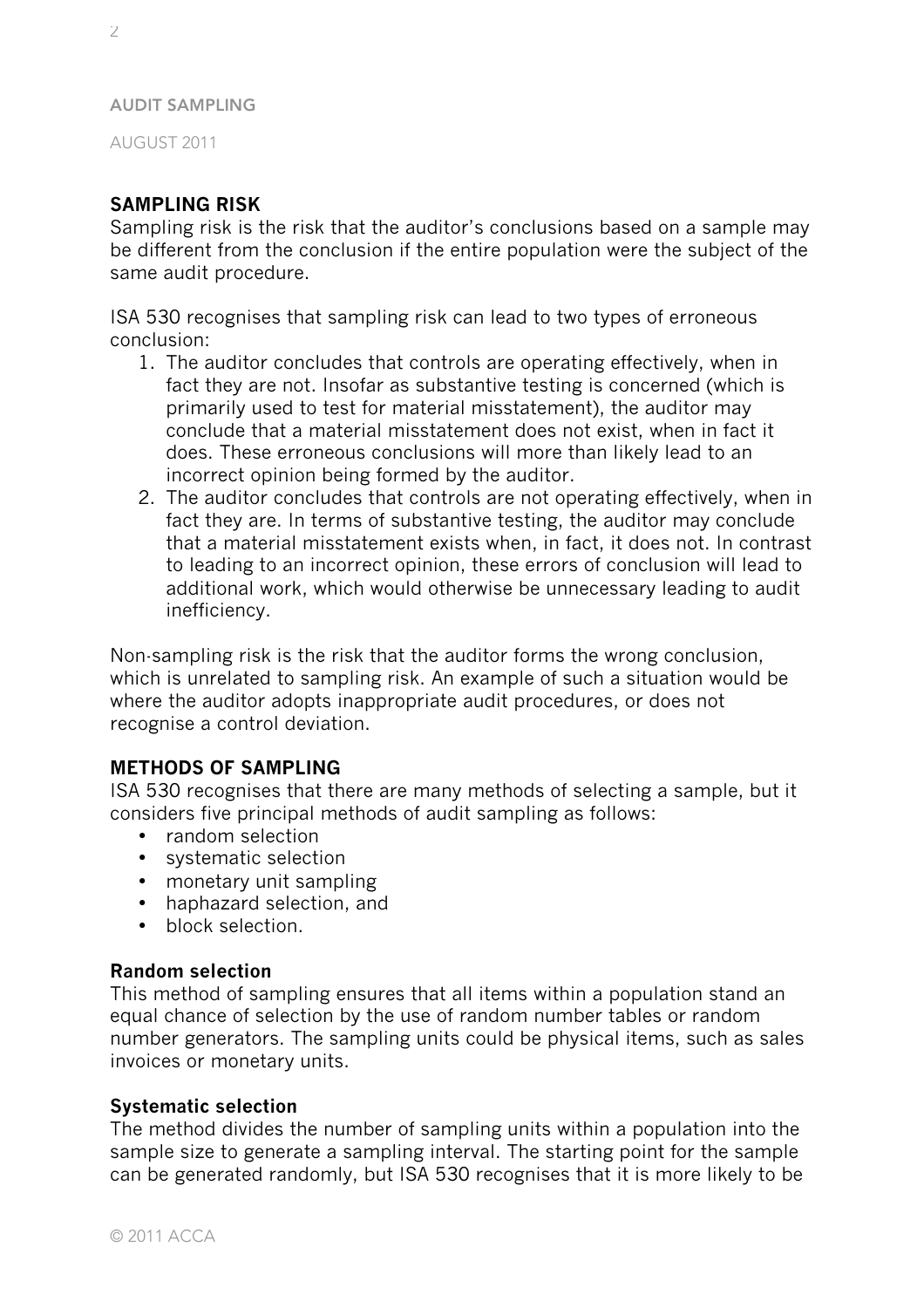AUGUST 2011

# **SAMPLING RISK**

Sampling risk is the risk that the auditor's conclusions based on a sample may be different from the conclusion if the entire population were the subject of the same audit procedure.

ISA 530 recognises that sampling risk can lead to two types of erroneous conclusion:

- 1. The auditor concludes that controls are operating effectively, when in fact they are not. Insofar as substantive testing is concerned (which is primarily used to test for material misstatement), the auditor may conclude that a material misstatement does not exist, when in fact it does. These erroneous conclusions will more than likely lead to an incorrect opinion being formed by the auditor.
- 2. The auditor concludes that controls are not operating effectively, when in fact they are. In terms of substantive testing, the auditor may conclude that a material misstatement exists when, in fact, it does not. In contrast to leading to an incorrect opinion, these errors of conclusion will lead to additional work, which would otherwise be unnecessary leading to audit inefficiency.

Non-sampling risk is the risk that the auditor forms the wrong conclusion, which is unrelated to sampling risk. An example of such a situation would be where the auditor adopts inappropriate audit procedures, or does not recognise a control deviation.

# **METHODS OF SAMPLING**

ISA 530 recognises that there are many methods of selecting a sample, but it considers five principal methods of audit sampling as follows:

- random selection
- systematic selection
- monetary unit sampling
- haphazard selection, and
- block selection

## **Random selection**

This method of sampling ensures that all items within a population stand an equal chance of selection by the use of random number tables or random number generators. The sampling units could be physical items, such as sales invoices or monetary units.

## **Systematic selection**

The method divides the number of sampling units within a population into the sample size to generate a sampling interval. The starting point for the sample can be generated randomly, but ISA 530 recognises that it is more likely to be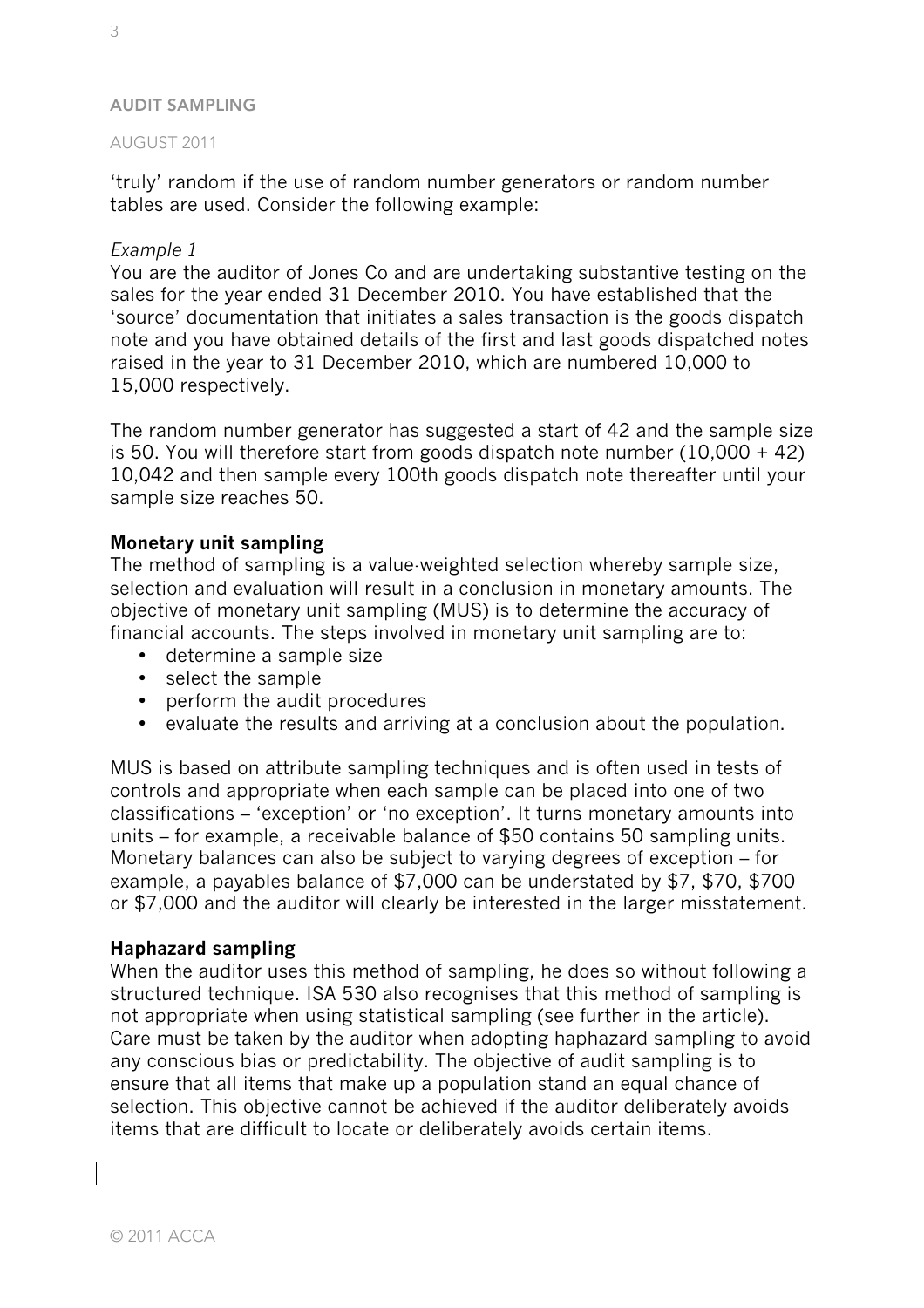### AUGUST 2011

'truly' random if the use of random number generators or random number tables are used. Consider the following example:

## *Example 1*

You are the auditor of Jones Co and are undertaking substantive testing on the sales for the year ended 31 December 2010. You have established that the 'source' documentation that initiates a sales transaction is the goods dispatch note and you have obtained details of the first and last goods dispatched notes raised in the year to 31 December 2010, which are numbered 10,000 to 15,000 respectively.

The random number generator has suggested a start of 42 and the sample size is 50. You will therefore start from goods dispatch note number (10,000 + 42) 10,042 and then sample every 100th goods dispatch note thereafter until your sample size reaches 50.

## **Monetary unit sampling**

The method of sampling is a value-weighted selection whereby sample size, selection and evaluation will result in a conclusion in monetary amounts. The objective of monetary unit sampling (MUS) is to determine the accuracy of financial accounts. The steps involved in monetary unit sampling are to:

- determine a sample size
- select the sample
- perform the audit procedures
- evaluate the results and arriving at a conclusion about the population.

MUS is based on attribute sampling techniques and is often used in tests of controls and appropriate when each sample can be placed into one of two classifications – 'exception' or 'no exception'. It turns monetary amounts into units – for example, a receivable balance of \$50 contains 50 sampling units. Monetary balances can also be subject to varying degrees of exception – for example, a payables balance of \$7,000 can be understated by \$7, \$70, \$700 or \$7,000 and the auditor will clearly be interested in the larger misstatement.

## **Haphazard sampling**

When the auditor uses this method of sampling, he does so without following a structured technique. ISA 530 also recognises that this method of sampling is not appropriate when using statistical sampling (see further in the article). Care must be taken by the auditor when adopting haphazard sampling to avoid any conscious bias or predictability. The objective of audit sampling is to ensure that all items that make up a population stand an equal chance of selection. This objective cannot be achieved if the auditor deliberately avoids items that are difficult to locate or deliberately avoids certain items.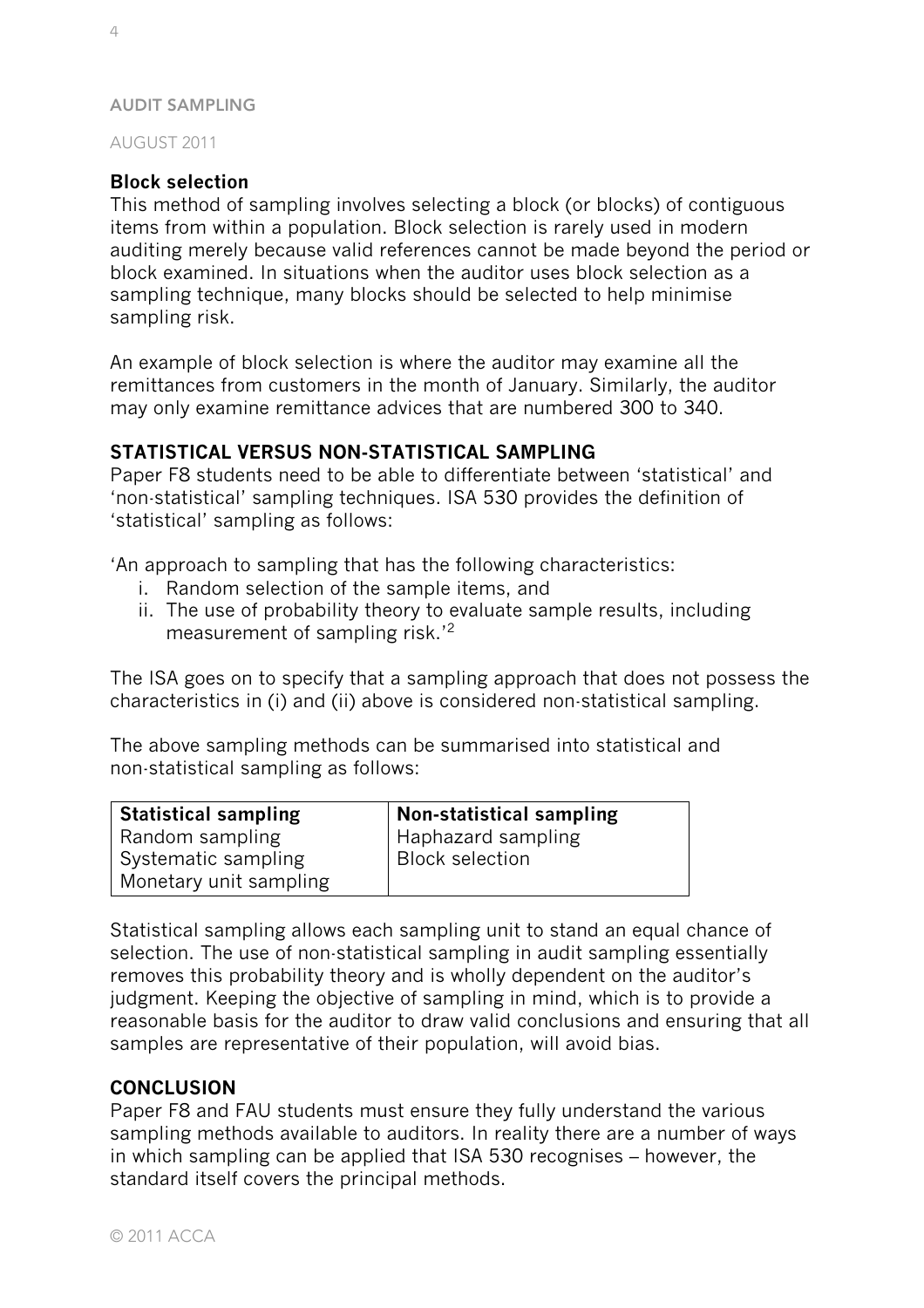AUGUST 2011

# **Block selection**

This method of sampling involves selecting a block (or blocks) of contiguous items from within a population. Block selection is rarely used in modern auditing merely because valid references cannot be made beyond the period or block examined. In situations when the auditor uses block selection as a sampling technique, many blocks should be selected to help minimise sampling risk.

An example of block selection is where the auditor may examine all the remittances from customers in the month of January. Similarly, the auditor may only examine remittance advices that are numbered 300 to 340.

# **STATISTICAL VERSUS NON-STATISTICAL SAMPLING**

Paper F8 students need to be able to differentiate between 'statistical' and 'non-statistical' sampling techniques. ISA 530 provides the definition of 'statistical' sampling as follows:

'An approach to sampling that has the following characteristics:

- i. Random selection of the sample items, and
- ii. The use of probability theory to evaluate sample results, including measurement of sampling risk.'2

The ISA goes on to specify that a sampling approach that does not possess the characteristics in (i) and (ii) above is considered non-statistical sampling.

The above sampling methods can be summarised into statistical and non-statistical sampling as follows:

| <b>Statistical sampling</b> | <b>Non-statistical sampling</b> |
|-----------------------------|---------------------------------|
| Random sampling             | <b>Haphazard sampling</b>       |
| Systematic sampling         | <b>Block selection</b>          |
| Monetary unit sampling      |                                 |

Statistical sampling allows each sampling unit to stand an equal chance of selection. The use of non-statistical sampling in audit sampling essentially removes this probability theory and is wholly dependent on the auditor's judgment. Keeping the objective of sampling in mind, which is to provide a reasonable basis for the auditor to draw valid conclusions and ensuring that all samples are representative of their population, will avoid bias.

# **CONCLUSION**

Paper F8 and FAU students must ensure they fully understand the various sampling methods available to auditors. In reality there are a number of ways in which sampling can be applied that ISA 530 recognises – however, the standard itself covers the principal methods.